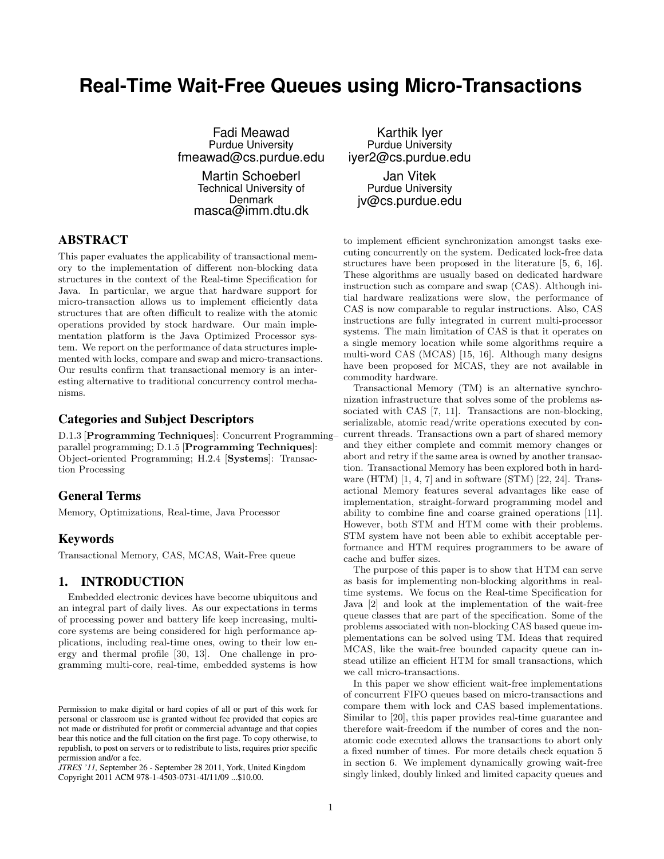# **Real-Time Wait-Free Queues using Micro-Transactions**

Fadi Meawad Purdue University fmeawad@cs.purdue.edu Martin Schoeberl Technical University of Denmark masca@imm.dtu.dk

# ABSTRACT

This paper evaluates the applicability of transactional memory to the implementation of different non-blocking data structures in the context of the Real-time Specification for Java. In particular, we argue that hardware support for micro-transaction allows us to implement efficiently data structures that are often difficult to realize with the atomic operations provided by stock hardware. Our main implementation platform is the Java Optimized Processor system. We report on the performance of data structures implemented with locks, compare and swap and micro-transactions. Our results confirm that transactional memory is an interesting alternative to traditional concurrency control mechanisms.

# Categories and Subject Descriptors

D.1.3 [Programming Techniques]: Concurrent Programming– parallel programming; D.1.5 [Programming Techniques]: Object-oriented Programming; H.2.4 [Systems]: Transaction Processing

## General Terms

Memory, Optimizations, Real-time, Java Processor

## Keywords

Transactional Memory, CAS, MCAS, Wait-Free queue

# 1. INTRODUCTION

Embedded electronic devices have become ubiquitous and an integral part of daily lives. As our expectations in terms of processing power and battery life keep increasing, multicore systems are being considered for high performance applications, including real-time ones, owing to their low energy and thermal profile [30, 13]. One challenge in programming multi-core, real-time, embedded systems is how

*JTRES '11,* September 26 - September 28 2011, York, United Kingdom Copyright 2011 ACM 978-1-4503-0731-4I/11/09 ...\$10.00.

Karthik Iyer Purdue University iyer2@cs.purdue.edu Jan Vitek

Purdue University jv@cs.purdue.edu

to implement efficient synchronization amongst tasks executing concurrently on the system. Dedicated lock-free data structures have been proposed in the literature [5, 6, 16]. These algorithms are usually based on dedicated hardware instruction such as compare and swap (CAS). Although initial hardware realizations were slow, the performance of CAS is now comparable to regular instructions. Also, CAS instructions are fully integrated in current multi-processor systems. The main limitation of CAS is that it operates on a single memory location while some algorithms require a multi-word CAS (MCAS) [15, 16]. Although many designs have been proposed for MCAS, they are not available in commodity hardware.

Transactional Memory (TM) is an alternative synchronization infrastructure that solves some of the problems associated with CAS [7, 11]. Transactions are non-blocking, serializable, atomic read/write operations executed by concurrent threads. Transactions own a part of shared memory and they either complete and commit memory changes or abort and retry if the same area is owned by another transaction. Transactional Memory has been explored both in hardware (HTM) [1, 4, 7] and in software (STM) [22, 24]. Transactional Memory features several advantages like ease of implementation, straight-forward programming model and ability to combine fine and coarse grained operations [11]. However, both STM and HTM come with their problems. STM system have not been able to exhibit acceptable performance and HTM requires programmers to be aware of cache and buffer sizes.

The purpose of this paper is to show that HTM can serve as basis for implementing non-blocking algorithms in realtime systems. We focus on the Real-time Specification for Java [2] and look at the implementation of the wait-free queue classes that are part of the specification. Some of the problems associated with non-blocking CAS based queue implementations can be solved using TM. Ideas that required MCAS, like the wait-free bounded capacity queue can instead utilize an efficient HTM for small transactions, which we call micro-transactions.

In this paper we show efficient wait-free implementations of concurrent FIFO queues based on micro-transactions and compare them with lock and CAS based implementations. Similar to [20], this paper provides real-time guarantee and therefore wait-freedom if the number of cores and the nonatomic code executed allows the transactions to abort only a fixed number of times. For more details check equation 5 in section 6. We implement dynamically growing wait-free singly linked, doubly linked and limited capacity queues and

Permission to make digital or hard copies of all or part of this work for personal or classroom use is granted without fee provided that copies are not made or distributed for profit or commercial advantage and that copies bear this notice and the full citation on the first page. To copy otherwise, to republish, to post on servers or to redistribute to lists, requires prior specific permission and/or a fee.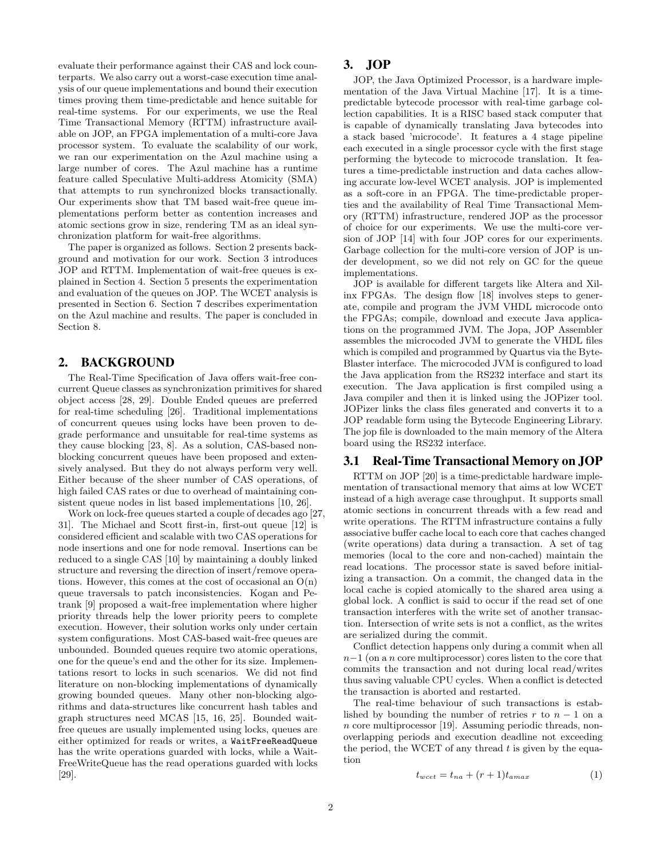evaluate their performance against their CAS and lock counterparts. We also carry out a worst-case execution time analysis of our queue implementations and bound their execution times proving them time-predictable and hence suitable for real-time systems. For our experiments, we use the Real Time Transactional Memory (RTTM) infrastructure available on JOP, an FPGA implementation of a multi-core Java processor system. To evaluate the scalability of our work, we ran our experimentation on the Azul machine using a large number of cores. The Azul machine has a runtime feature called Speculative Multi-address Atomicity (SMA) that attempts to run synchronized blocks transactionally. Our experiments show that TM based wait-free queue implementations perform better as contention increases and atomic sections grow in size, rendering TM as an ideal synchronization platform for wait-free algorithms.

The paper is organized as follows. Section 2 presents background and motivation for our work. Section 3 introduces JOP and RTTM. Implementation of wait-free queues is explained in Section 4. Section 5 presents the experimentation and evaluation of the queues on JOP. The WCET analysis is presented in Section 6. Section 7 describes experimentation on the Azul machine and results. The paper is concluded in Section 8.

## 2. BACKGROUND

The Real-Time Specification of Java offers wait-free concurrent Queue classes as synchronization primitives for shared object access [28, 29]. Double Ended queues are preferred for real-time scheduling [26]. Traditional implementations of concurrent queues using locks have been proven to degrade performance and unsuitable for real-time systems as they cause blocking [23, 8]. As a solution, CAS-based nonblocking concurrent queues have been proposed and extensively analysed. But they do not always perform very well. Either because of the sheer number of CAS operations, of high failed CAS rates or due to overhead of maintaining consistent queue nodes in list based implementations [10, 26].

Work on lock-free queues started a couple of decades ago [27, 31]. The Michael and Scott first-in, first-out queue [12] is considered efficient and scalable with two CAS operations for node insertions and one for node removal. Insertions can be reduced to a single CAS [10] by maintaining a doubly linked structure and reversing the direction of insert/remove operations. However, this comes at the cost of occasional an  $O(n)$ queue traversals to patch inconsistencies. Kogan and Petrank [9] proposed a wait-free implementation where higher priority threads help the lower priority peers to complete execution. However, their solution works only under certain system configurations. Most CAS-based wait-free queues are unbounded. Bounded queues require two atomic operations, one for the queue's end and the other for its size. Implementations resort to locks in such scenarios. We did not find literature on non-blocking implementations of dynamically growing bounded queues. Many other non-blocking algorithms and data-structures like concurrent hash tables and graph structures need MCAS [15, 16, 25]. Bounded waitfree queues are usually implemented using locks, queues are either optimized for reads or writes, a WaitFreeReadQueue has the write operations guarded with locks, while a Wait-FreeWriteQueue has the read operations guarded with locks [29].

## 3. JOP

JOP, the Java Optimized Processor, is a hardware implementation of the Java Virtual Machine [17]. It is a timepredictable bytecode processor with real-time garbage collection capabilities. It is a RISC based stack computer that is capable of dynamically translating Java bytecodes into a stack based 'microcode'. It features a 4 stage pipeline each executed in a single processor cycle with the first stage performing the bytecode to microcode translation. It features a time-predictable instruction and data caches allowing accurate low-level WCET analysis. JOP is implemented as a soft-core in an FPGA. The time-predictable properties and the availability of Real Time Transactional Memory (RTTM) infrastructure, rendered JOP as the processor of choice for our experiments. We use the multi-core version of JOP [14] with four JOP cores for our experiments. Garbage collection for the multi-core version of JOP is under development, so we did not rely on GC for the queue implementations.

JOP is available for different targets like Altera and Xilinx FPGAs. The design flow [18] involves steps to generate, compile and program the JVM VHDL microcode onto the FPGAs; compile, download and execute Java applications on the programmed JVM. The Jopa, JOP Assembler assembles the microcoded JVM to generate the VHDL files which is compiled and programmed by Quartus via the Byte-Blaster interface. The microcoded JVM is configured to load the Java application from the RS232 interface and start its execution. The Java application is first compiled using a Java compiler and then it is linked using the JOPizer tool. JOPizer links the class files generated and converts it to a JOP readable form using the Bytecode Engineering Library. The jop file is downloaded to the main memory of the Altera board using the RS232 interface.

## 3.1 Real-Time Transactional Memory on JOP

RTTM on JOP [20] is a time-predictable hardware implementation of transactional memory that aims at low WCET instead of a high average case throughput. It supports small atomic sections in concurrent threads with a few read and write operations. The RTTM infrastructure contains a fully associative buffer cache local to each core that caches changed (write operations) data during a transaction. A set of tag memories (local to the core and non-cached) maintain the read locations. The processor state is saved before initializing a transaction. On a commit, the changed data in the local cache is copied atomically to the shared area using a global lock. A conflict is said to occur if the read set of one transaction interferes with the write set of another transaction. Intersection of write sets is not a conflict, as the writes are serialized during the commit.

Conflict detection happens only during a commit when all  $n-1$  (on a n core multiprocessor) cores listen to the core that commits the transaction and not during local read/writes thus saving valuable CPU cycles. When a conflict is detected the transaction is aborted and restarted.

The real-time behaviour of such transactions is established by bounding the number of retries  $r$  to  $n-1$  on a n core multiprocessor [19]. Assuming periodic threads, nonoverlapping periods and execution deadline not exceeding the period, the WCET of any thread  $t$  is given by the equation

$$
t_{wcet} = t_{na} + (r+1)t_{amax} \tag{1}
$$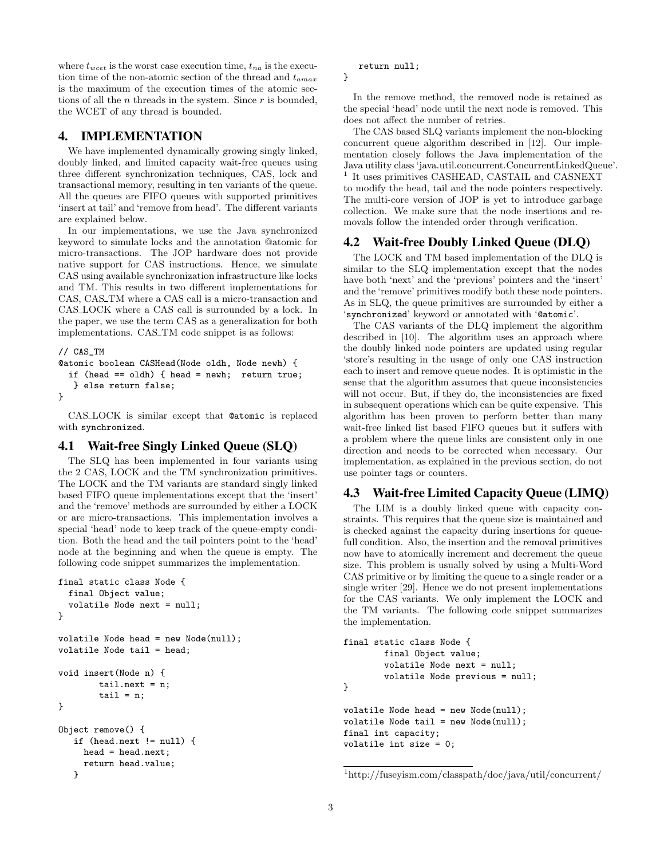where  $t_{vect}$  is the worst case execution time,  $t_{na}$  is the execution time of the non-atomic section of the thread and  $t_{amax}$ is the maximum of the execution times of the atomic sections of all the  $n$  threads in the system. Since  $r$  is bounded, the WCET of any thread is bounded.

## 4. IMPLEMENTATION

We have implemented dynamically growing singly linked, doubly linked, and limited capacity wait-free queues using three different synchronization techniques, CAS, lock and transactional memory, resulting in ten variants of the queue. All the queues are FIFO queues with supported primitives 'insert at tail' and 'remove from head'. The different variants are explained below.

In our implementations, we use the Java synchronized keyword to simulate locks and the annotation @atomic for micro-transactions. The JOP hardware does not provide native support for CAS instructions. Hence, we simulate CAS using available synchronization infrastructure like locks and TM. This results in two different implementations for CAS, CAS\_TM where a CAS call is a micro-transaction and CAS LOCK where a CAS call is surrounded by a lock. In the paper, we use the term CAS as a generalization for both implementations. CAS TM code snippet is as follows:

```
// CAS_TM
```

```
@atomic boolean CASHead(Node oldh, Node newh) {
 if (head == oldh) { head = newh; return true;
   } else return false;
}
```
CAS LOCK is similar except that @atomic is replaced with synchronized.

## 4.1 Wait-free Singly Linked Queue (SLQ)

The SLQ has been implemented in four variants using the 2 CAS, LOCK and the TM synchronization primitives. The LOCK and the TM variants are standard singly linked based FIFO queue implementations except that the 'insert' and the 'remove' methods are surrounded by either a LOCK or are micro-transactions. This implementation involves a special 'head' node to keep track of the queue-empty condition. Both the head and the tail pointers point to the 'head' node at the beginning and when the queue is empty. The following code snippet summarizes the implementation.

```
final static class Node {
 final Object value;
 volatile Node next = null;
}
volatile Node head = new Node(null);
volatile Node tail = head;
void insert(Node n) {
        tail.next = n;
        tail = n;}
Object remove() {
   if (head.next != null) {
     head = head.next;
     return head.value;
   }
```
return null;

}

In the remove method, the removed node is retained as the special 'head' node until the next node is removed. This does not affect the number of retries.

The CAS based SLQ variants implement the non-blocking concurrent queue algorithm described in [12]. Our implementation closely follows the Java implementation of the Java utility class 'java.util.concurrent.ConcurrentLinkedQueue'. 1 It uses primitives CASHEAD, CASTAIL and CASNEXT to modify the head, tail and the node pointers respectively. The multi-core version of JOP is yet to introduce garbage collection. We make sure that the node insertions and removals follow the intended order through verification.

## 4.2 Wait-free Doubly Linked Queue (DLQ)

The LOCK and TM based implementation of the DLQ is similar to the SLQ implementation except that the nodes have both 'next' and the 'previous' pointers and the 'insert' and the 'remove' primitives modify both these node pointers. As in SLQ, the queue primitives are surrounded by either a 'synchronized' keyword or annotated with '@atomic'.

The CAS variants of the DLQ implement the algorithm described in [10]. The algorithm uses an approach where the doubly linked node pointers are updated using regular 'store's resulting in the usage of only one CAS instruction each to insert and remove queue nodes. It is optimistic in the sense that the algorithm assumes that queue inconsistencies will not occur. But, if they do, the inconsistencies are fixed in subsequent operations which can be quite expensive. This algorithm has been proven to perform better than many wait-free linked list based FIFO queues but it suffers with a problem where the queue links are consistent only in one direction and needs to be corrected when necessary. Our implementation, as explained in the previous section, do not use pointer tags or counters.

# 4.3 Wait-free Limited Capacity Queue (LIMQ)

The LIM is a doubly linked queue with capacity constraints. This requires that the queue size is maintained and is checked against the capacity during insertions for queuefull condition. Also, the insertion and the removal primitives now have to atomically increment and decrement the queue size. This problem is usually solved by using a Multi-Word CAS primitive or by limiting the queue to a single reader or a single writer [29]. Hence we do not present implementations for the CAS variants. We only implement the LOCK and the TM variants. The following code snippet summarizes the implementation.

```
final static class Node {
        final Object value;
        volatile Node next = null;
        volatile Node previous = null;
}
volatile Node head = new Node(null);
volatile Node tail = new Node(null);
final int capacity;
volatile int size = 0;
```
<sup>1</sup>http://fuseyism.com/classpath/doc/java/util/concurrent/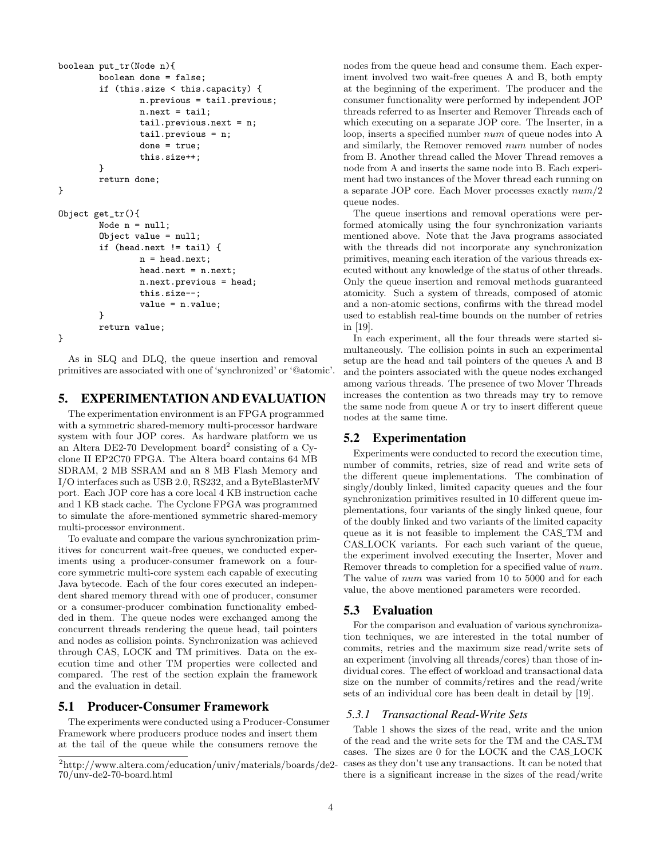```
boolean put_tr(Node n){
        boolean done = false;
        if (this.size < this.capacity) {
                n.previous = tail.previous;
                n.next = tail;tail.previous.next = n;
                tail.previous = n;
                done = true;
                this.size++;
        }
        return done;
}
Object get_tr(){
        Node n = null;
        Object value = null;
        if (head.next != tail) {
                n = head.next;
                head.next = n.next;
                n.next.previous = head;
                this.size--;
                value = n.value;
        }
        return value;
}
```
As in SLQ and DLQ, the queue insertion and removal primitives are associated with one of 'synchronized' or '@atomic'.

# 5. EXPERIMENTATION AND EVALUATION

The experimentation environment is an FPGA programmed with a symmetric shared-memory multi-processor hardware system with four JOP cores. As hardware platform we us an Altera DE2-70 Development board<sup>2</sup> consisting of a Cyclone II EP2C70 FPGA. The Altera board contains 64 MB SDRAM, 2 MB SSRAM and an 8 MB Flash Memory and I/O interfaces such as USB 2.0, RS232, and a ByteBlasterMV port. Each JOP core has a core local 4 KB instruction cache and 1 KB stack cache. The Cyclone FPGA was programmed to simulate the afore-mentioned symmetric shared-memory multi-processor environment.

To evaluate and compare the various synchronization primitives for concurrent wait-free queues, we conducted experiments using a producer-consumer framework on a fourcore symmetric multi-core system each capable of executing Java bytecode. Each of the four cores executed an independent shared memory thread with one of producer, consumer or a consumer-producer combination functionality embedded in them. The queue nodes were exchanged among the concurrent threads rendering the queue head, tail pointers and nodes as collision points. Synchronization was achieved through CAS, LOCK and TM primitives. Data on the execution time and other TM properties were collected and compared. The rest of the section explain the framework and the evaluation in detail.

#### 5.1 Producer-Consumer Framework

The experiments were conducted using a Producer-Consumer Framework where producers produce nodes and insert them at the tail of the queue while the consumers remove the

nodes from the queue head and consume them. Each experiment involved two wait-free queues A and B, both empty at the beginning of the experiment. The producer and the consumer functionality were performed by independent JOP threads referred to as Inserter and Remover Threads each of which executing on a separate JOP core. The Inserter, in a loop, inserts a specified number num of queue nodes into A and similarly, the Remover removed num number of nodes from B. Another thread called the Mover Thread removes a node from A and inserts the same node into B. Each experiment had two instances of the Mover thread each running on a separate JOP core. Each Mover processes exactly num/2 queue nodes.

The queue insertions and removal operations were performed atomically using the four synchronization variants mentioned above. Note that the Java programs associated with the threads did not incorporate any synchronization primitives, meaning each iteration of the various threads executed without any knowledge of the status of other threads. Only the queue insertion and removal methods guaranteed atomicity. Such a system of threads, composed of atomic and a non-atomic sections, confirms with the thread model used to establish real-time bounds on the number of retries in [19].

In each experiment, all the four threads were started simultaneously. The collision points in such an experimental setup are the head and tail pointers of the queues A and B and the pointers associated with the queue nodes exchanged among various threads. The presence of two Mover Threads increases the contention as two threads may try to remove the same node from queue A or try to insert different queue nodes at the same time.

## 5.2 Experimentation

Experiments were conducted to record the execution time, number of commits, retries, size of read and write sets of the different queue implementations. The combination of singly/doubly linked, limited capacity queues and the four synchronization primitives resulted in 10 different queue implementations, four variants of the singly linked queue, four of the doubly linked and two variants of the limited capacity queue as it is not feasible to implement the CAS TM and CAS LOCK variants. For each such variant of the queue, the experiment involved executing the Inserter, Mover and Remover threads to completion for a specified value of num. The value of num was varied from 10 to 5000 and for each value, the above mentioned parameters were recorded.

#### 5.3 Evaluation

For the comparison and evaluation of various synchronization techniques, we are interested in the total number of commits, retries and the maximum size read/write sets of an experiment (involving all threads/cores) than those of individual cores. The effect of workload and transactional data size on the number of commits/retires and the read/write sets of an individual core has been dealt in detail by [19].

#### *5.3.1 Transactional Read-Write Sets*

Table 1 shows the sizes of the read, write and the union of the read and the write sets for the TM and the CAS TM cases. The sizes are 0 for the LOCK and the CAS LOCK cases as they don't use any transactions. It can be noted that there is a significant increase in the sizes of the read/write

<sup>2</sup>http://www.altera.com/education/univ/materials/boards/de2- 70/unv-de2-70-board.html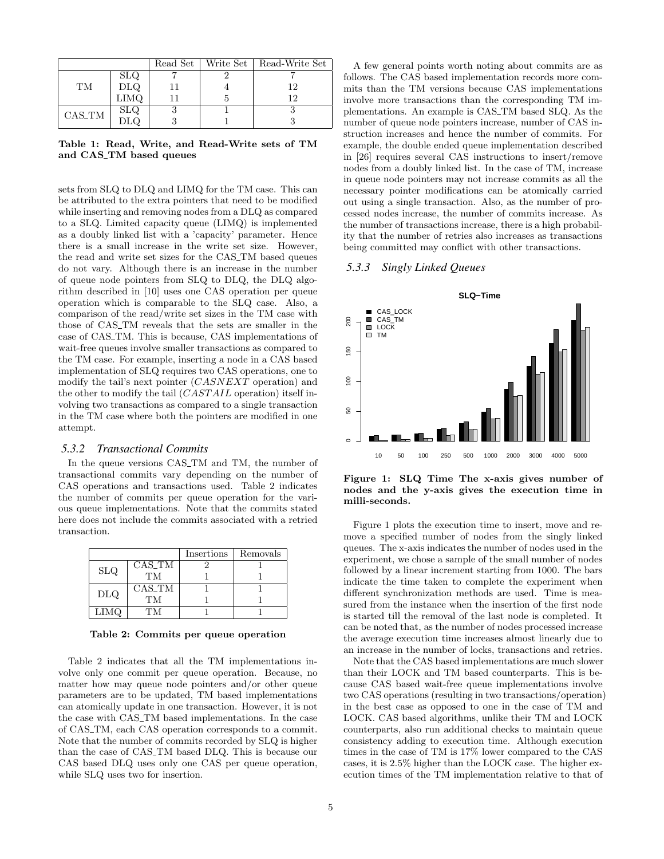|          |             | Read Set | Write Set | Read-Write Set |
|----------|-------------|----------|-----------|----------------|
| TM       | SLQ         |          |           |                |
|          | DLQ         |          |           | 12             |
|          | <b>LIMQ</b> |          |           | 12             |
| $CAS_TM$ | SLQ<br>DLQ  |          |           |                |
|          |             |          |           |                |

Table 1: Read, Write, and Read-Write sets of TM and CAS\_TM based queues

sets from SLQ to DLQ and LIMQ for the TM case. This can be attributed to the extra pointers that need to be modified while inserting and removing nodes from a DLQ as compared to a SLQ. Limited capacity queue (LIMQ) is implemented as a doubly linked list with a 'capacity' parameter. Hence there is a small increase in the write set size. However, the read and write set sizes for the CAS\_TM based queues do not vary. Although there is an increase in the number of queue node pointers from SLQ to DLQ, the DLQ algorithm described in [10] uses one CAS operation per queue operation which is comparable to the SLQ case. Also, a comparison of the read/write set sizes in the TM case with those of CAS\_TM reveals that the sets are smaller in the case of CAS TM. This is because, CAS implementations of wait-free queues involve smaller transactions as compared to the TM case. For example, inserting a node in a CAS based implementation of SLQ requires two CAS operations, one to modify the tail's next pointer (CASNEXT operation) and the other to modify the tail  $(CASTAIL)$  operation) itself involving two transactions as compared to a single transaction in the TM case where both the pointers are modified in one attempt.

## *5.3.2 Transactional Commits*

In the queue versions CAS TM and TM, the number of transactional commits vary depending on the number of CAS operations and transactions used. Table 2 indicates the number of commits per queue operation for the various queue implementations. Note that the commits stated here does not include the commits associated with a retried transaction.

|      |        | Insertions | Removals |
|------|--------|------------|----------|
|      | CAS_TM |            |          |
| SLQ  | TM     |            |          |
| DLQ  | CAS_TM |            |          |
|      | TМ     |            |          |
| LIMC |        |            |          |

Table 2: Commits per queue operation

Table 2 indicates that all the TM implementations involve only one commit per queue operation. Because, no matter how may queue node pointers and/or other queue parameters are to be updated, TM based implementations can atomically update in one transaction. However, it is not the case with CAS TM based implementations. In the case of CAS TM, each CAS operation corresponds to a commit. Note that the number of commits recorded by SLQ is higher than the case of CAS TM based DLQ. This is because our CAS based DLQ uses only one CAS per queue operation, while SLQ uses two for insertion.

A few general points worth noting about commits are as follows. The CAS based implementation records more commits than the TM versions because CAS implementations involve more transactions than the corresponding TM implementations. An example is CAS TM based SLQ. As the number of queue node pointers increase, number of CAS instruction increases and hence the number of commits. For example, the double ended queue implementation described in [26] requires several CAS instructions to insert/remove nodes from a doubly linked list. In the case of TM, increase in queue node pointers may not increase commits as all the necessary pointer modifications can be atomically carried out using a single transaction. Also, as the number of processed nodes increase, the number of commits increase. As the number of transactions increase, there is a high probability that the number of retries also increases as transactions being committed may conflict with other transactions.

#### *5.3.3 Singly Linked Queues*



Figure 1: SLQ Time The x-axis gives number of nodes and the y-axis gives the execution time in milli-seconds.

Figure 1 plots the execution time to insert, move and remove a specified number of nodes from the singly linked queues. The x-axis indicates the number of nodes used in the experiment, we chose a sample of the small number of nodes followed by a linear increment starting from 1000. The bars indicate the time taken to complete the experiment when different synchronization methods are used. Time is measured from the instance when the insertion of the first node is started till the removal of the last node is completed. It can be noted that, as the number of nodes processed increase the average execution time increases almost linearly due to an increase in the number of locks, transactions and retries.

Note that the CAS based implementations are much slower than their LOCK and TM based counterparts. This is because CAS based wait-free queue implementations involve two CAS operations (resulting in two transactions/operation) in the best case as opposed to one in the case of TM and LOCK. CAS based algorithms, unlike their TM and LOCK counterparts, also run additional checks to maintain queue consistency adding to execution time. Although execution times in the case of TM is 17% lower compared to the CAS cases, it is 2.5% higher than the LOCK case. The higher execution times of the TM implementation relative to that of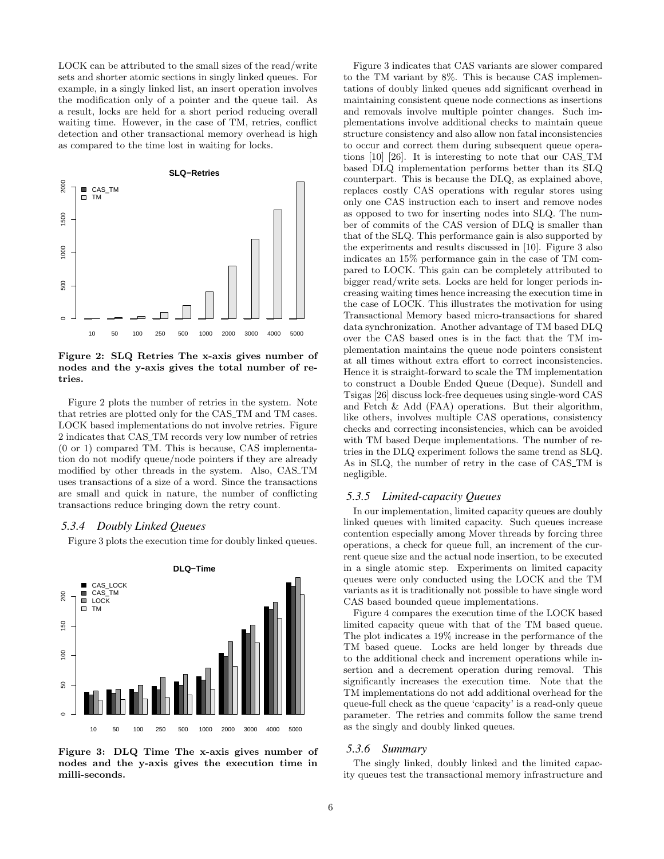LOCK can be attributed to the small sizes of the read/write sets and shorter atomic sections in singly linked queues. For example, in a singly linked list, an insert operation involves the modification only of a pointer and the queue tail. As a result, locks are held for a short period reducing overall waiting time. However, in the case of TM, retries, conflict detection and other transactional memory overhead is high as compared to the time lost in waiting for locks.



Figure 2: SLQ Retries The x-axis gives number of nodes and the y-axis gives the total number of retries.

Figure 2 plots the number of retries in the system. Note that retries are plotted only for the CAS TM and TM cases. LOCK based implementations do not involve retries. Figure 2 indicates that CAS TM records very low number of retries (0 or 1) compared TM. This is because, CAS implementation do not modify queue/node pointers if they are already modified by other threads in the system. Also, CAS TM uses transactions of a size of a word. Since the transactions are small and quick in nature, the number of conflicting transactions reduce bringing down the retry count.

### *5.3.4 Doubly Linked Queues*

Figure 3 plots the execution time for doubly linked queues.



Figure 3: DLQ Time The x-axis gives number of nodes and the y-axis gives the execution time in milli-seconds.

Figure 3 indicates that CAS variants are slower compared to the TM variant by 8%. This is because CAS implementations of doubly linked queues add significant overhead in maintaining consistent queue node connections as insertions and removals involve multiple pointer changes. Such implementations involve additional checks to maintain queue structure consistency and also allow non fatal inconsistencies to occur and correct them during subsequent queue operations [10] [26]. It is interesting to note that our CAS TM based DLQ implementation performs better than its SLQ counterpart. This is because the DLQ, as explained above, replaces costly CAS operations with regular stores using only one CAS instruction each to insert and remove nodes as opposed to two for inserting nodes into SLQ. The number of commits of the CAS version of DLQ is smaller than that of the SLQ. This performance gain is also supported by the experiments and results discussed in [10]. Figure 3 also indicates an 15% performance gain in the case of TM compared to LOCK. This gain can be completely attributed to bigger read/write sets. Locks are held for longer periods increasing waiting times hence increasing the execution time in the case of LOCK. This illustrates the motivation for using Transactional Memory based micro-transactions for shared data synchronization. Another advantage of TM based DLQ over the CAS based ones is in the fact that the TM implementation maintains the queue node pointers consistent at all times without extra effort to correct inconsistencies. Hence it is straight-forward to scale the TM implementation to construct a Double Ended Queue (Deque). Sundell and Tsigas [26] discuss lock-free dequeues using single-word CAS and Fetch & Add (FAA) operations. But their algorithm, like others, involves multiple CAS operations, consistency checks and correcting inconsistencies, which can be avoided with TM based Deque implementations. The number of retries in the DLQ experiment follows the same trend as SLQ. As in SLQ, the number of retry in the case of CAS\_TM is negligible.

#### *5.3.5 Limited-capacity Queues*

In our implementation, limited capacity queues are doubly linked queues with limited capacity. Such queues increase contention especially among Mover threads by forcing three operations, a check for queue full, an increment of the current queue size and the actual node insertion, to be executed in a single atomic step. Experiments on limited capacity queues were only conducted using the LOCK and the TM variants as it is traditionally not possible to have single word CAS based bounded queue implementations.

Figure 4 compares the execution time of the LOCK based limited capacity queue with that of the TM based queue. The plot indicates a 19% increase in the performance of the TM based queue. Locks are held longer by threads due to the additional check and increment operations while insertion and a decrement operation during removal. This significantly increases the execution time. Note that the TM implementations do not add additional overhead for the queue-full check as the queue 'capacity' is a read-only queue parameter. The retries and commits follow the same trend as the singly and doubly linked queues.

#### *5.3.6 Summary*

The singly linked, doubly linked and the limited capacity queues test the transactional memory infrastructure and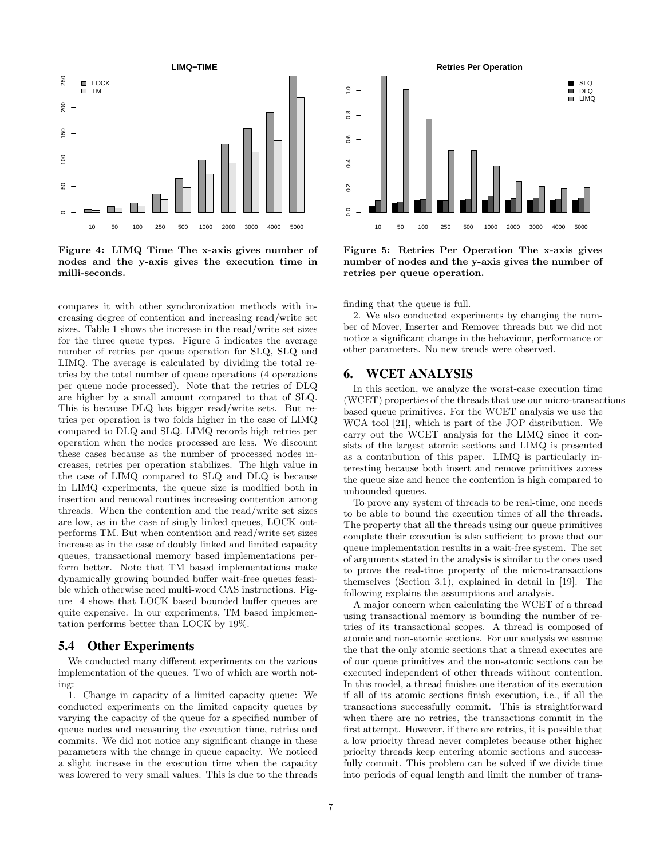

Figure 4: LIMQ Time The x-axis gives number of nodes and the y-axis gives the execution time in milli-seconds.

compares it with other synchronization methods with increasing degree of contention and increasing read/write set sizes. Table 1 shows the increase in the read/write set sizes for the three queue types. Figure 5 indicates the average number of retries per queue operation for SLQ, SLQ and LIMQ. The average is calculated by dividing the total retries by the total number of queue operations (4 operations per queue node processed). Note that the retries of DLQ are higher by a small amount compared to that of SLQ. This is because DLQ has bigger read/write sets. But retries per operation is two folds higher in the case of LIMQ compared to DLQ and SLQ. LIMQ records high retries per operation when the nodes processed are less. We discount these cases because as the number of processed nodes increases, retries per operation stabilizes. The high value in the case of LIMQ compared to SLQ and DLQ is because in LIMQ experiments, the queue size is modified both in insertion and removal routines increasing contention among threads. When the contention and the read/write set sizes are low, as in the case of singly linked queues, LOCK outperforms TM. But when contention and read/write set sizes increase as in the case of doubly linked and limited capacity queues, transactional memory based implementations perform better. Note that TM based implementations make dynamically growing bounded buffer wait-free queues feasible which otherwise need multi-word CAS instructions. Figure 4 shows that LOCK based bounded buffer queues are quite expensive. In our experiments, TM based implementation performs better than LOCK by 19%.

#### 5.4 Other Experiments

We conducted many different experiments on the various implementation of the queues. Two of which are worth noting:

1. Change in capacity of a limited capacity queue: We conducted experiments on the limited capacity queues by varying the capacity of the queue for a specified number of queue nodes and measuring the execution time, retries and commits. We did not notice any significant change in these parameters with the change in queue capacity. We noticed a slight increase in the execution time when the capacity was lowered to very small values. This is due to the threads



Figure 5: Retries Per Operation The x-axis gives number of nodes and the y-axis gives the number of retries per queue operation.

finding that the queue is full.

2. We also conducted experiments by changing the number of Mover, Inserter and Remover threads but we did not notice a significant change in the behaviour, performance or other parameters. No new trends were observed.

## 6. WCET ANALYSIS

In this section, we analyze the worst-case execution time (WCET) properties of the threads that use our micro-transactions based queue primitives. For the WCET analysis we use the WCA tool [21], which is part of the JOP distribution. We carry out the WCET analysis for the LIMQ since it consists of the largest atomic sections and LIMQ is presented as a contribution of this paper. LIMQ is particularly interesting because both insert and remove primitives access the queue size and hence the contention is high compared to unbounded queues.

To prove any system of threads to be real-time, one needs to be able to bound the execution times of all the threads. The property that all the threads using our queue primitives complete their execution is also sufficient to prove that our queue implementation results in a wait-free system. The set of arguments stated in the analysis is similar to the ones used to prove the real-time property of the micro-transactions themselves (Section 3.1), explained in detail in [19]. The following explains the assumptions and analysis.

A major concern when calculating the WCET of a thread using transactional memory is bounding the number of retries of its transactional scopes. A thread is composed of atomic and non-atomic sections. For our analysis we assume the that the only atomic sections that a thread executes are of our queue primitives and the non-atomic sections can be executed independent of other threads without contention. In this model, a thread finishes one iteration of its execution if all of its atomic sections finish execution, i.e., if all the transactions successfully commit. This is straightforward when there are no retries, the transactions commit in the first attempt. However, if there are retries, it is possible that a low priority thread never completes because other higher priority threads keep entering atomic sections and successfully commit. This problem can be solved if we divide time into periods of equal length and limit the number of trans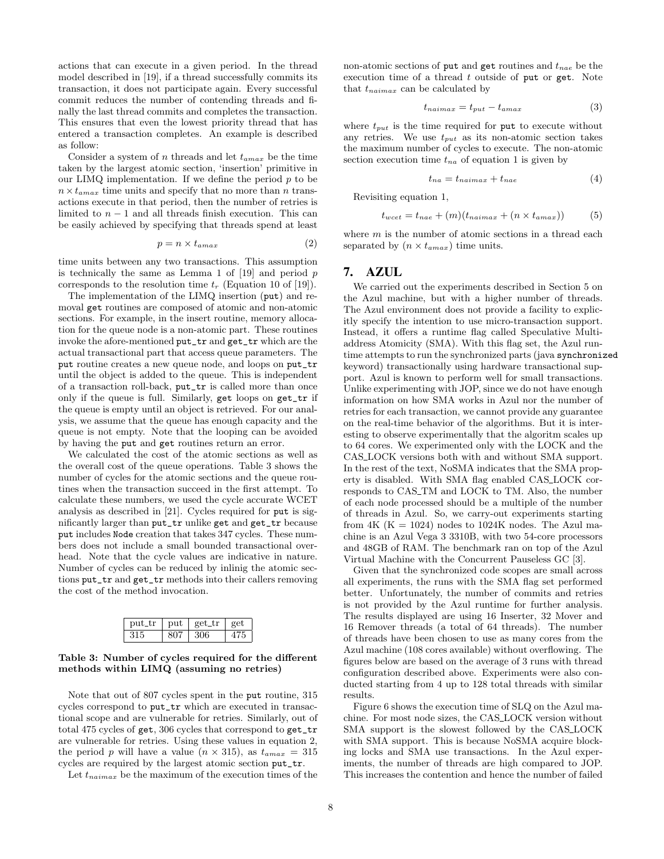actions that can execute in a given period. In the thread model described in [19], if a thread successfully commits its transaction, it does not participate again. Every successful commit reduces the number of contending threads and finally the last thread commits and completes the transaction. This ensures that even the lowest priority thread that has entered a transaction completes. An example is described as follow:

Consider a system of n threads and let  $t_{amax}$  be the time taken by the largest atomic section, 'insertion' primitive in our LIMQ implementation. If we define the period  $p$  to be  $n \times t_{amax}$  time units and specify that no more than n transactions execute in that period, then the number of retries is limited to  $n - 1$  and all threads finish execution. This can be easily achieved by specifying that threads spend at least

$$
p = n \times t_{amax} \tag{2}
$$

time units between any two transactions. This assumption is technically the same as Lemma 1 of  $[19]$  and period  $p$ corresponds to the resolution time  $t_r$  (Equation 10 of [19]).

The implementation of the LIMQ insertion (put) and removal get routines are composed of atomic and non-atomic sections. For example, in the insert routine, memory allocation for the queue node is a non-atomic part. These routines invoke the afore-mentioned put\_tr and get\_tr which are the actual transactional part that access queue parameters. The put routine creates a new queue node, and loops on put\_tr until the object is added to the queue. This is independent of a transaction roll-back, put\_tr is called more than once only if the queue is full. Similarly, get loops on get\_tr if the queue is empty until an object is retrieved. For our analysis, we assume that the queue has enough capacity and the queue is not empty. Note that the looping can be avoided by having the put and get routines return an error.

We calculated the cost of the atomic sections as well as the overall cost of the queue operations. Table 3 shows the number of cycles for the atomic sections and the queue routines when the transaction succeed in the first attempt. To calculate these numbers, we used the cycle accurate WCET analysis as described in [21]. Cycles required for put is significantly larger than put\_tr unlike get and get\_tr because put includes Node creation that takes 347 cycles. These numbers does not include a small bounded transactional overhead. Note that the cycle values are indicative in nature. Number of cycles can be reduced by inlinig the atomic sections put\_tr and get\_tr methods into their callers removing the cost of the method invocation.

| $put\_tr$ | put | get_tr | get |
|-----------|-----|--------|-----|
| 315       | 807 | -306   |     |

#### Table 3: Number of cycles required for the different methods within LIMQ (assuming no retries)

Note that out of 807 cycles spent in the put routine, 315 cycles correspond to put\_tr which are executed in transactional scope and are vulnerable for retries. Similarly, out of total 475 cycles of get, 306 cycles that correspond to get\_tr are vulnerable for retries. Using these values in equation 2, the period p will have a value  $(n \times 315)$ , as  $t_{amax} = 315$ cycles are required by the largest atomic section put\_tr.

Let  $t_{naimax}$  be the maximum of the execution times of the

non-atomic sections of put and get routines and  $t_{nae}$  be the execution time of a thread  $t$  outside of put or get. Note that  $t_{naimax}$  can be calculated by

$$
t_{naimax} = t_{put} - t_{amax} \tag{3}
$$

where  $t_{put}$  is the time required for put to execute without any retries. We use  $t_{put}$  as its non-atomic section takes the maximum number of cycles to execute. The non-atomic section execution time  $t_{na}$  of equation 1 is given by

$$
t_{na} = t_{naimax} + t_{nae} \tag{4}
$$

Revisiting equation 1,

$$
t_{wcet} = t_{nae} + (m)(t_{naimax} + (n \times t_{amax})) \tag{5}
$$

where  $m$  is the number of atomic sections in a thread each separated by  $(n \times t_{amax})$  time units.

### 7. AZUL

We carried out the experiments described in Section 5 on the Azul machine, but with a higher number of threads. The Azul environment does not provide a facility to explicitly specify the intention to use micro-transaction support. Instead, it offers a runtime flag called Speculative Multiaddress Atomicity (SMA). With this flag set, the Azul runtime attempts to run the synchronized parts (java synchronized keyword) transactionally using hardware transactional support. Azul is known to perform well for small transactions. Unlike experimenting with JOP, since we do not have enough information on how SMA works in Azul nor the number of retries for each transaction, we cannot provide any guarantee on the real-time behavior of the algorithms. But it is interesting to observe experimentally that the algoritm scales up to 64 cores. We experimented only with the LOCK and the CAS LOCK versions both with and without SMA support. In the rest of the text, NoSMA indicates that the SMA property is disabled. With SMA flag enabled CAS LOCK corresponds to CAS\_TM and LOCK to TM. Also, the number of each node processed should be a multiple of the number of threads in Azul. So, we carry-out experiments starting from 4K ( $K = 1024$ ) nodes to 1024K nodes. The Azul machine is an Azul Vega 3 3310B, with two 54-core processors and 48GB of RAM. The benchmark ran on top of the Azul Virtual Machine with the Concurrent Pauseless GC [3].

Given that the synchronized code scopes are small across all experiments, the runs with the SMA flag set performed better. Unfortunately, the number of commits and retries is not provided by the Azul runtime for further analysis. The results displayed are using 16 Inserter, 32 Mover and 16 Remover threads (a total of 64 threads). The number of threads have been chosen to use as many cores from the Azul machine (108 cores available) without overflowing. The figures below are based on the average of 3 runs with thread configuration described above. Experiments were also conducted starting from 4 up to 128 total threads with similar results.

Figure 6 shows the execution time of SLQ on the Azul machine. For most node sizes, the CAS LOCK version without SMA support is the slowest followed by the CAS\_LOCK with SMA support. This is because NoSMA acquire blocking locks and SMA use transactions. In the Azul experiments, the number of threads are high compared to JOP. This increases the contention and hence the number of failed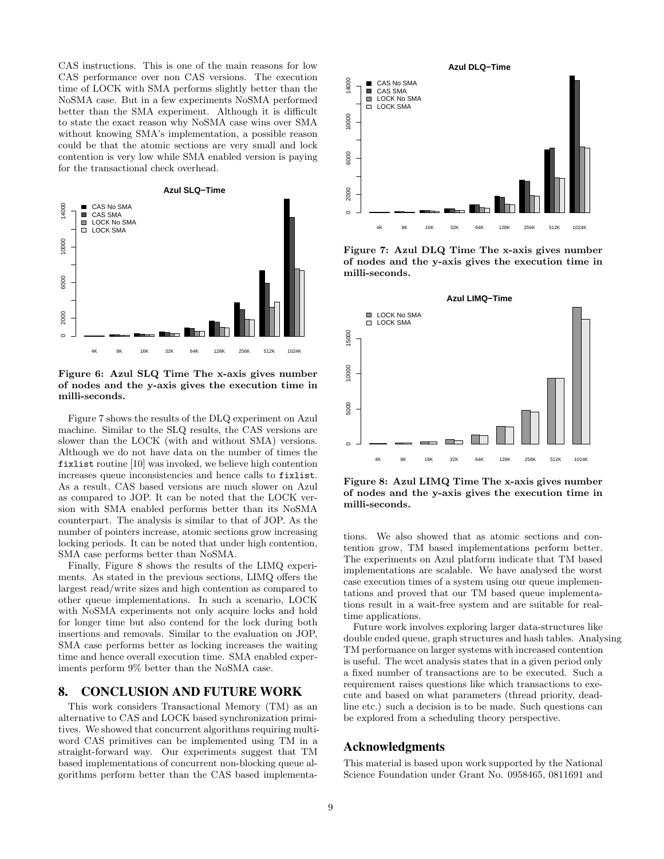CAS instructions. This is one of the main reasons for low CAS performance over non CAS versions. The execution time of LOCK with SMA performs slightly better than the NoSMA case. But in a few experiments NoSMA performed better than the SMA experiment. Although it is difficult to state the exact reason why NoSMA case wins over SMA without knowing SMA's implementation, a possible reason could be that the atomic sections are very small and lock contention is very low while SMA enabled version is paying for the transactional check overhead.



Figure 6: Azul SLQ Time The x-axis gives number of nodes and the y-axis gives the execution time in milli-seconds.

Figure 7 shows the results of the DLQ experiment on Azul machine. Similar to the SLQ results, the CAS versions are slower than the LOCK (with and without SMA) versions. Although we do not have data on the number of times the fixlist routine [10] was invoked, we believe high contention increases queue inconsistencies and hence calls to fixlist. As a result, CAS based versions are much slower on Azul as compared to JOP. It can be noted that the LOCK version with SMA enabled performs better than its NoSMA counterpart. The analysis is similar to that of JOP. As the number of pointers increase, atomic sections grow increasing locking periods. It can be noted that under high contention, SMA case performs better than NoSMA.

Finally, Figure 8 shows the results of the LIMQ experiments. As stated in the previous sections, LIMQ offers the largest read/write sizes and high contention as compared to other queue implementations. In such a scenario, LOCK with NoSMA experiments not only acquire locks and hold for longer time but also contend for the lock during both insertions and removals. Similar to the evaluation on JOP, SMA case performs better as locking increases the waiting time and hence overall execution time. SMA enabled experiments perform 9% better than the NoSMA case.

# 8. CONCLUSION AND FUTURE WORK

This work considers Transactional Memory (TM) as an alternative to CAS and LOCK based synchronization primitives. We showed that concurrent algorithms requiring multiword CAS primitives can be implemented using TM in a straight-forward way. Our experiments suggest that TM based implementations of concurrent non-blocking queue algorithms perform better than the CAS based implementa-



Figure 7: Azul DLQ Time The x-axis gives number of nodes and the y-axis gives the execution time in milli-seconds.



Figure 8: Azul LIMQ Time The x-axis gives number of nodes and the y-axis gives the execution time in milli-seconds.

tions. We also showed that as atomic sections and contention grow, TM based implementations perform better. The experiments on Azul platform indicate that TM based implementations are scalable. We have analysed the worst case execution times of a system using our queue implementations and proved that our TM based queue implementations result in a wait-free system and are suitable for realtime applications.

Future work involves exploring larger data-structures like double ended queue, graph structures and hash tables. Analysing TM performance on larger systems with increased contention is useful. The wcet analysis states that in a given period only a fixed number of transactions are to be executed. Such a requirement raises questions like which transactions to execute and based on what parameters (thread priority, deadline etc.) such a decision is to be made. Such questions can be explored from a scheduling theory perspective.

## Acknowledgments

This material is based upon work supported by the National Science Foundation under Grant No. 0958465, 0811691 and